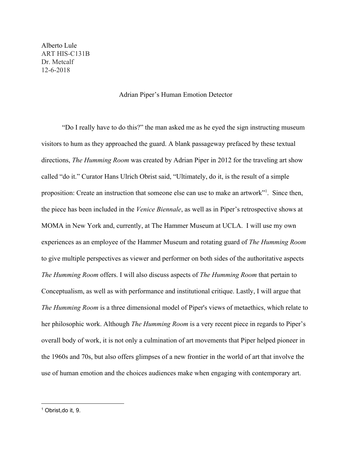Alberto Lule ART HIS-C131B Dr. Metcalf 12-6-2018

## Adrian Piper's Human Emotion Detector

"Do I really have to do this?" the man asked me as he eyed the sign instructing museum visitors to hum as they approached the guard. A blank passageway prefaced by these textual directions, *The Humming Room* was created by Adrian Piper in 2012 for the traveling art show called "do it." Curator Hans Ulrich Obrist said, "Ultimately, do it, is the result of a simple proposition: Create an instruction that someone else can use to make an artwork"<sup>1</sup>. Since then, the piece has been included in the *Venice Biennale*, as well as in Piper's retrospective shows at MOMA in New York and, currently, at The Hammer Museum at UCLA. I will use my own experiences as an employee of the Hammer Museum and rotating guard of *The Humming Room* to give multiple perspectives as viewer and performer on both sides of the authoritative aspects *The Humming Room* offers. I will also discuss aspects of *The Humming Room* that pertain to Conceptualism, as well as with performance and institutional critique. Lastly, I will argue that *The Humming Room* is a three dimensional model of Piper's views of metaethics, which relate to her philosophic work. Although *The Humming Room* is a very recent piece in regards to Piper's overall body of work, it is not only a culmination of art movements that Piper helped pioneer in the 1960s and 70s, but also offers glimpses of a new frontier in the world of art that involve the use of human emotion and the choices audiences make when engaging with contemporary art.

<sup>1</sup> Obrist,do it, 9.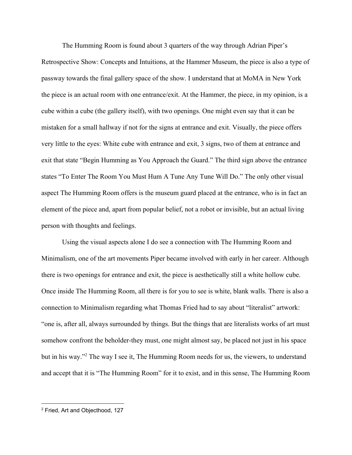The Humming Room is found about 3 quarters of the way through Adrian Piper's Retrospective Show: Concepts and Intuitions, at the Hammer Museum, the piece is also a type of passway towards the final gallery space of the show. I understand that at MoMA in New York the piece is an actual room with one entrance/exit. At the Hammer, the piece, in my opinion, is a cube within a cube (the gallery itself), with two openings. One might even say that it can be mistaken for a small hallway if not for the signs at entrance and exit. Visually, the piece offers very little to the eyes: White cube with entrance and exit, 3 signs, two of them at entrance and exit that state "Begin Humming as You Approach the Guard." The third sign above the entrance states "To Enter The Room You Must Hum A Tune Any Tune Will Do." The only other visual aspect The Humming Room offers is the museum guard placed at the entrance, who is in fact an element of the piece and, apart from popular belief, not a robot or invisible, but an actual living person with thoughts and feelings.

Using the visual aspects alone I do see a connection with The Humming Room and Minimalism, one of the art movements Piper became involved with early in her career. Although there is two openings for entrance and exit, the piece is aesthetically still a white hollow cube. Once inside The Humming Room, all there is for you to see is white, blank walls. There is also a connection to Minimalism regarding what Thomas Fried had to say about "literalist" artwork: "one is, after all, always surrounded by things. But the things that are literalists works of art must somehow confront the beholder-they must, one might almost say, be placed not just in his space but in his way."<sup>2</sup> The way I see it, The Humming Room needs for us, the viewers, to understand and accept that it is "The Humming Room" for it to exist, and in this sense, The Humming Room

<sup>2</sup> Fried, Art and Objecthood, 127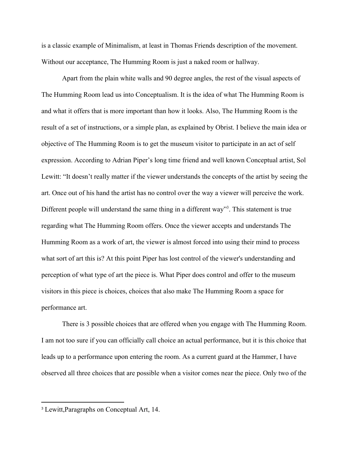is a classic example of Minimalism, at least in Thomas Friends description of the movement. Without our acceptance, The Humming Room is just a naked room or hallway.

Apart from the plain white walls and 90 degree angles, the rest of the visual aspects of The Humming Room lead us into Conceptualism. It is the idea of what The Humming Room is and what it offers that is more important than how it looks. Also, The Humming Room is the result of a set of instructions, or a simple plan, as explained by Obrist. I believe the main idea or objective of The Humming Room is to get the museum visitor to participate in an act of self expression. According to Adrian Piper's long time friend and well known Conceptual artist, Sol Lewitt: "It doesn't really matter if the viewer understands the concepts of the artist by seeing the art. Once out of his hand the artist has no control over the way a viewer will perceive the work. Different people will understand the same thing in a different way"<sup>3</sup>. This statement is true regarding what The Humming Room offers. Once the viewer accepts and understands The Humming Room as a work of art, the viewer is almost forced into using their mind to process what sort of art this is? At this point Piper has lost control of the viewer's understanding and perception of what type of art the piece is. What Piper does control and offer to the museum visitors in this piece is choices, choices that also make The Humming Room a space for performance art.

There is 3 possible choices that are offered when you engage with The Humming Room. I am not too sure if you can officially call choice an actual performance, but it is this choice that leads up to a performance upon entering the room. As a current guard at the Hammer, I have observed all three choices that are possible when a visitor comes near the piece. Only two of the

<sup>3</sup> Lewitt,Paragraphs on Conceptual Art, 14.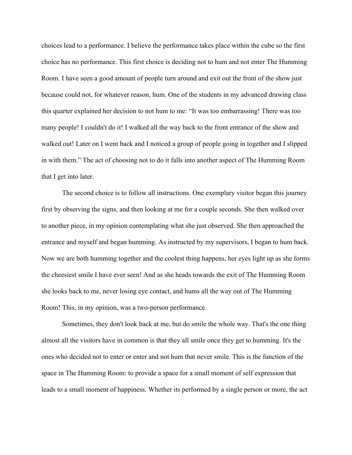choices lead to a performance. I believe the performance takes place within the cube so the first choice has no performance. This first choice is deciding not to hum and not enter The Humming Room. I have seen a good amount of people turn around and exit out the front of the show just because could not, for whatever reason, hum. One of the students in my advanced drawing class this quarter explained her decision to not hum to me: "It was too embarrassing! There was too many people! I couldn't do it! I walked all the way back to the front entrance of the show and walked out! Later on I went back and I noticed a group of people going in together and I slipped in with them." The act of choosing not to do it falls into another aspect of The Humming Room that I get into later.

The second choice is to follow all instructions. One exemplary visitor began this journey first by observing the signs, and then looking at me for a couple seconds. She then walked over to another piece, in my opinion contemplating what she just observed. She then approached the entrance and myself and began humming. As instructed by my supervisors, I began to hum back. Now we are both humming together and the coolest thing happens, her eyes light up as she forms the cheesiest smile I have ever seen! And as she heads towards the exit of The Humming Room she looks back to me, never losing eye contact, and hums all the way out of The Humming Room! This, in my opinion, was a two-person performance.

Sometimes, they don't look back at me, but do smile the whole way. That's the one thing almost all the visitors have in common is that they all smile once they get to humming. It's the ones who decided not to enter or enter and not hum that never smile. This is the function of the space in The Humming Room: to provide a space for a small moment of self expression that leads to a small moment of happiness. Whether its performed by a single person or more, the act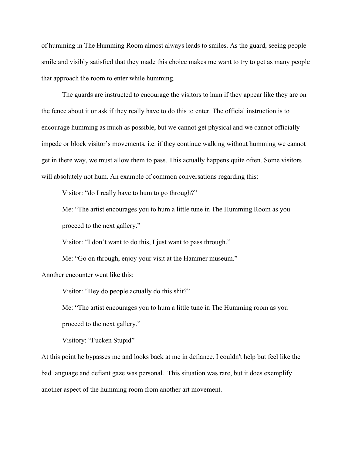of humming in The Humming Room almost always leads to smiles. As the guard, seeing people smile and visibly satisfied that they made this choice makes me want to try to get as many people that approach the room to enter while humming.

The guards are instructed to encourage the visitors to hum if they appear like they are on the fence about it or ask if they really have to do this to enter. The official instruction is to encourage humming as much as possible, but we cannot get physical and we cannot officially impede or block visitor's movements, i.e. if they continue walking without humming we cannot get in there way, we must allow them to pass. This actually happens quite often. Some visitors will absolutely not hum. An example of common conversations regarding this:

Visitor: "do I really have to hum to go through?"

Me: "The artist encourages you to hum a little tune in The Humming Room as you proceed to the next gallery."

Visitor: "I don't want to do this, I just want to pass through."

Me: "Go on through, enjoy your visit at the Hammer museum."

Another encounter went like this:

Visitor: "Hey do people actually do this shit?"

Me: "The artist encourages you to hum a little tune in The Humming room as you proceed to the next gallery."

Visitory: "Fucken Stupid"

At this point he bypasses me and looks back at me in defiance. I couldn't help but feel like the bad language and defiant gaze was personal. This situation was rare, but it does exemplify another aspect of the humming room from another art movement.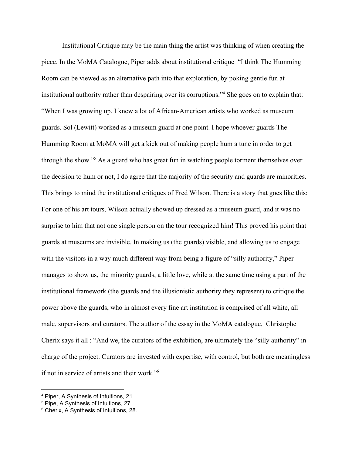Institutional Critique may be the main thing the artist was thinking of when creating the piece. In the MoMA Catalogue, Piper adds about institutional critique "I think The Humming Room can be viewed as an alternative path into that exploration, by poking gentle fun at institutional authority rather than despairing over its corruptions."<sup>4</sup> She goes on to explain that: "When I was growing up, I knew a lot of African-American artists who worked as museum guards. Sol (Lewitt) worked as a museum guard at one point. I hope whoever guards The Humming Room at MoMA will get a kick out of making people hum a tune in order to get through the show."<sup>5</sup> As a guard who has great fun in watching people torment themselves over the decision to hum or not, I do agree that the majority of the security and guards are minorities. This brings to mind the institutional critiques of Fred Wilson. There is a story that goes like this: For one of his art tours, Wilson actually showed up dressed as a museum guard, and it was no surprise to him that not one single person on the tour recognized him! This proved his point that guards at museums are invisible. In making us (the guards) visible, and allowing us to engage with the visitors in a way much different way from being a figure of "silly authority," Piper manages to show us, the minority guards, a little love, while at the same time using a part of the institutional framework (the guards and the illusionistic authority they represent) to critique the power above the guards, who in almost every fine art institution is comprised of all white, all male, supervisors and curators. The author of the essay in the MoMA catalogue, Christophe Cherix says it all : "And we, the curators of the exhibition, are ultimately the "silly authority" in charge of the project. Curators are invested with expertise, with control, but both are meaningless if not in service of artists and their work."<sup>6</sup>

<sup>4</sup> Piper, A Synthesis of Intuitions, 21.

<sup>5</sup> Pipe, A Synthesis of Intuitions, 27.

<sup>6</sup> Cherix, A Synthesis of Intuitions, 28.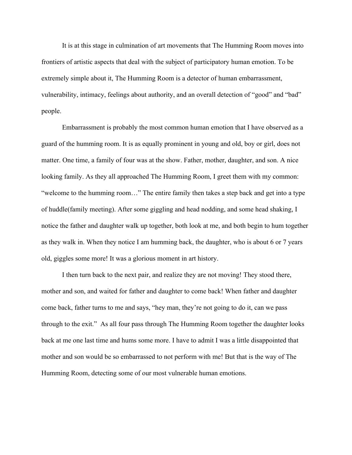It is at this stage in culmination of art movements that The Humming Room moves into frontiers of artistic aspects that deal with the subject of participatory human emotion. To be extremely simple about it, The Humming Room is a detector of human embarrassment, vulnerability, intimacy, feelings about authority, and an overall detection of "good" and "bad" people.

Embarrassment is probably the most common human emotion that I have observed as a guard of the humming room. It is as equally prominent in young and old, boy or girl, does not matter. One time, a family of four was at the show. Father, mother, daughter, and son. A nice looking family. As they all approached The Humming Room, I greet them with my common: "welcome to the humming room…" The entire family then takes a step back and get into a type of huddle(family meeting). After some giggling and head nodding, and some head shaking, I notice the father and daughter walk up together, both look at me, and both begin to hum together as they walk in. When they notice I am humming back, the daughter, who is about 6 or 7 years old, giggles some more! It was a glorious moment in art history.

I then turn back to the next pair, and realize they are not moving! They stood there, mother and son, and waited for father and daughter to come back! When father and daughter come back, father turns to me and says, "hey man, they're not going to do it, can we pass through to the exit." As all four pass through The Humming Room together the daughter looks back at me one last time and hums some more. I have to admit I was a little disappointed that mother and son would be so embarrassed to not perform with me! But that is the way of The Humming Room, detecting some of our most vulnerable human emotions.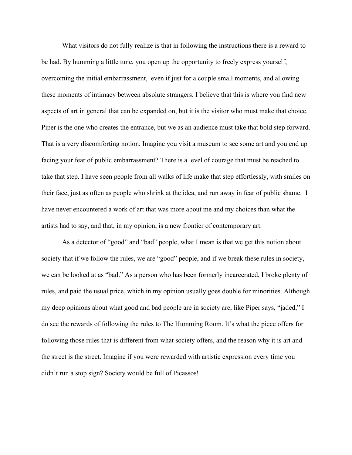What visitors do not fully realize is that in following the instructions there is a reward to be had. By humming a little tune, you open up the opportunity to freely express yourself, overcoming the initial embarrassment, even if just for a couple small moments, and allowing these moments of intimacy between absolute strangers. I believe that this is where you find new aspects of art in general that can be expanded on, but it is the visitor who must make that choice. Piper is the one who creates the entrance, but we as an audience must take that bold step forward. That is a very discomforting notion. Imagine you visit a museum to see some art and you end up facing your fear of public embarrassment? There is a level of courage that must be reached to take that step. I have seen people from all walks of life make that step effortlessly, with smiles on their face, just as often as people who shrink at the idea, and run away in fear of public shame. I have never encountered a work of art that was more about me and my choices than what the artists had to say, and that, in my opinion, is a new frontier of contemporary art.

As a detector of "good" and "bad" people, what I mean is that we get this notion about society that if we follow the rules, we are "good" people, and if we break these rules in society, we can be looked at as "bad." As a person who has been formerly incarcerated, I broke plenty of rules, and paid the usual price, which in my opinion usually goes double for minorities. Although my deep opinions about what good and bad people are in society are, like Piper says, "jaded," I do see the rewards of following the rules to The Humming Room. It's what the piece offers for following those rules that is different from what society offers, and the reason why it is art and the street is the street. Imagine if you were rewarded with artistic expression every time you didn't run a stop sign? Society would be full of Picassos!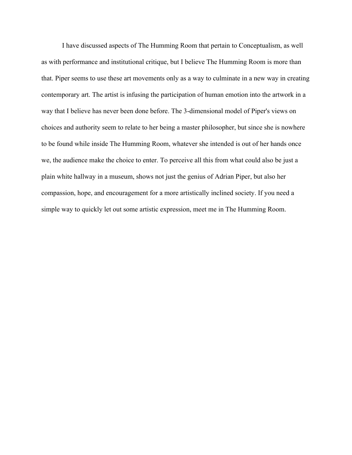I have discussed aspects of The Humming Room that pertain to Conceptualism, as well as with performance and institutional critique, but I believe The Humming Room is more than that. Piper seems to use these art movements only as a way to culminate in a new way in creating contemporary art. The artist is infusing the participation of human emotion into the artwork in a way that I believe has never been done before. The 3-dimensional model of Piper's views on choices and authority seem to relate to her being a master philosopher, but since she is nowhere to be found while inside The Humming Room, whatever she intended is out of her hands once we, the audience make the choice to enter. To perceive all this from what could also be just a plain white hallway in a museum, shows not just the genius of Adrian Piper, but also her compassion, hope, and encouragement for a more artistically inclined society. If you need a simple way to quickly let out some artistic expression, meet me in The Humming Room.